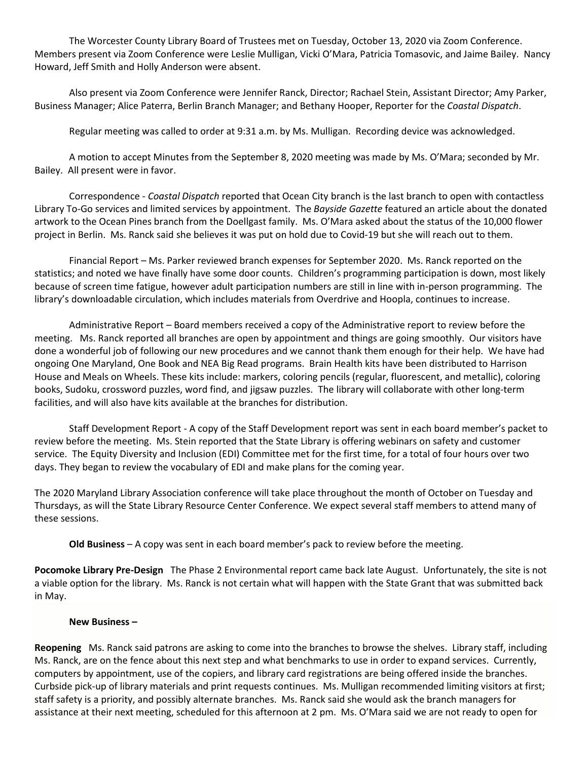The Worcester County Library Board of Trustees met on Tuesday, October 13, 2020 via Zoom Conference. Members present via Zoom Conference were Leslie Mulligan, Vicki O'Mara, Patricia Tomasovic, and Jaime Bailey. Nancy Howard, Jeff Smith and Holly Anderson were absent.

Also present via Zoom Conference were Jennifer Ranck, Director; Rachael Stein, Assistant Director; Amy Parker, Business Manager; Alice Paterra, Berlin Branch Manager; and Bethany Hooper, Reporter for the *Coastal Dispatch*.

Regular meeting was called to order at 9:31 a.m. by Ms. Mulligan. Recording device was acknowledged.

A motion to accept Minutes from the September 8, 2020 meeting was made by Ms. O'Mara; seconded by Mr. Bailey. All present were in favor.

Correspondence - *Coastal Dispatch* reported that Ocean City branch is the last branch to open with contactless Library To-Go services and limited services by appointment. The *Bayside Gazette* featured an article about the donated artwork to the Ocean Pines branch from the Doellgast family. Ms. O'Mara asked about the status of the 10,000 flower project in Berlin. Ms. Ranck said she believes it was put on hold due to Covid-19 but she will reach out to them.

Financial Report – Ms. Parker reviewed branch expenses for September 2020. Ms. Ranck reported on the statistics; and noted we have finally have some door counts. Children's programming participation is down, most likely because of screen time fatigue, however adult participation numbers are still in line with in-person programming. The library's downloadable circulation, which includes materials from Overdrive and Hoopla, continues to increase.

Administrative Report – Board members received a copy of the Administrative report to review before the meeting. Ms. Ranck reported all branches are open by appointment and things are going smoothly. Our visitors have done a wonderful job of following our new procedures and we cannot thank them enough for their help. We have had ongoing One Maryland, One Book and NEA Big Read programs. Brain Health kits have been distributed to Harrison House and Meals on Wheels. These kits include: markers, coloring pencils (regular, fluorescent, and metallic), coloring books, Sudoku, crossword puzzles, word find, and jigsaw puzzles. The library will collaborate with other long-term facilities, and will also have kits available at the branches for distribution.

Staff Development Report - A copy of the Staff Development report was sent in each board member's packet to review before the meeting. Ms. Stein reported that the State Library is offering webinars on safety and customer service. The Equity Diversity and Inclusion (EDI) Committee met for the first time, for a total of four hours over two days. They began to review the vocabulary of EDI and make plans for the coming year.

The 2020 Maryland Library Association conference will take place throughout the month of October on Tuesday and Thursdays, as will the State Library Resource Center Conference. We expect several staff members to attend many of these sessions.

**Old Business** – A copy was sent in each board member's pack to review before the meeting.

**Pocomoke Library Pre-Design** The Phase 2 Environmental report came back late August. Unfortunately, the site is not a viable option for the library. Ms. Ranck is not certain what will happen with the State Grant that was submitted back in May.

## **New Business –**

**Reopening** Ms. Ranck said patrons are asking to come into the branches to browse the shelves. Library staff, including Ms. Ranck, are on the fence about this next step and what benchmarks to use in order to expand services. Currently, computers by appointment, use of the copiers, and library card registrations are being offered inside the branches. Curbside pick-up of library materials and print requests continues. Ms. Mulligan recommended limiting visitors at first; staff safety is a priority, and possibly alternate branches. Ms. Ranck said she would ask the branch managers for assistance at their next meeting, scheduled for this afternoon at 2 pm. Ms. O'Mara said we are not ready to open for